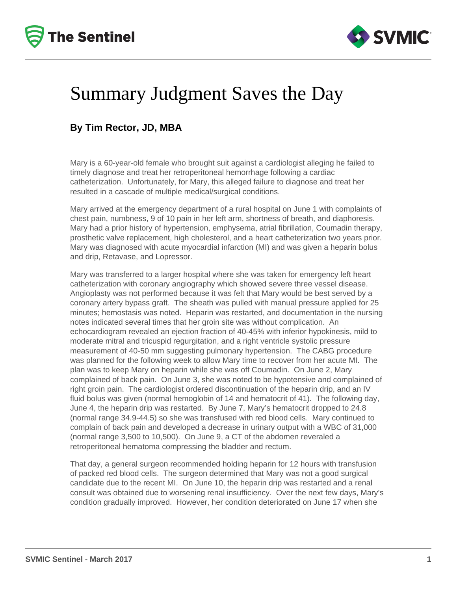



## Summary Judgment Saves the Day

#### **By Tim Rector, JD, MBA**

Mary is a 60-year-old female who brought suit against a cardiologist alleging he failed to timely diagnose and treat her retroperitoneal hemorrhage following a cardiac catheterization. Unfortunately, for Mary, this alleged failure to diagnose and treat her resulted in a cascade of multiple medical/surgical conditions.

Mary arrived at the emergency department of a rural hospital on June 1 with complaints of chest pain, numbness, 9 of 10 pain in her left arm, shortness of breath, and diaphoresis. Mary had a prior history of hypertension, emphysema, atrial fibrillation, Coumadin therapy, prosthetic valve replacement, high cholesterol, and a heart catheterization two years prior. Mary was diagnosed with acute myocardial infarction (MI) and was given a heparin bolus and drip, Retavase, and Lopressor.

Mary was transferred to a larger hospital where she was taken for emergency left heart catheterization with coronary angiography which showed severe three vessel disease. Angioplasty was not performed because it was felt that Mary would be best served by a coronary artery bypass graft. The sheath was pulled with manual pressure applied for 25 minutes; hemostasis was noted. Heparin was restarted, and documentation in the nursing notes indicated several times that her groin site was without complication. An echocardiogram revealed an ejection fraction of 40-45% with inferior hypokinesis, mild to moderate mitral and tricuspid regurgitation, and a right ventricle systolic pressure measurement of 40-50 mm suggesting pulmonary hypertension. The CABG procedure was planned for the following week to allow Mary time to recover from her acute MI. The plan was to keep Mary on heparin while she was off Coumadin. On June 2, Mary complained of back pain. On June 3, she was noted to be hypotensive and complained of right groin pain. The cardiologist ordered discontinuation of the heparin drip, and an IV fluid bolus was given (normal hemoglobin of 14 and hematocrit of 41). The following day, June 4, the heparin drip was restarted. By June 7, Mary's hematocrit dropped to 24.8 (normal range 34.9-44.5) so she was transfused with red blood cells. Mary continued to complain of back pain and developed a decrease in urinary output with a WBC of 31,000 (normal range 3,500 to 10,500). On June 9, a CT of the abdomen reveraled a retroperitoneal hematoma compressing the bladder and rectum.

That day, a general surgeon recommended holding heparin for 12 hours with transfusion of packed red blood cells. The surgeon determined that Mary was not a good surgical candidate due to the recent MI. On June 10, the heparin drip was restarted and a renal consult was obtained due to worsening renal insufficiency. Over the next few days, Mary's condition gradually improved. However, her condition deteriorated on June 17 when she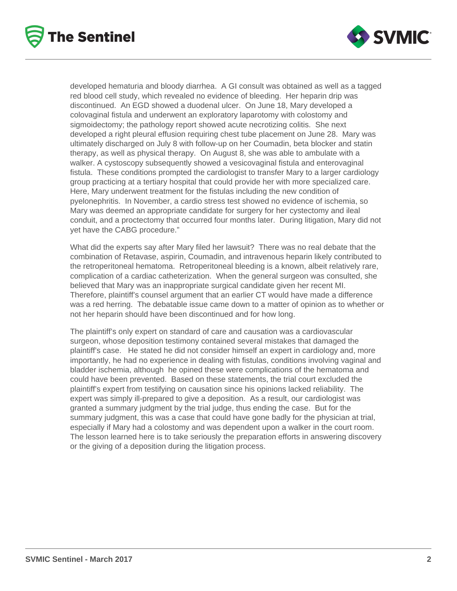



developed hematuria and bloody diarrhea. A GI consult was obtained as well as a tagged red blood cell study, which revealed no evidence of bleeding. Her heparin drip was discontinued. An EGD showed a duodenal ulcer. On June 18, Mary developed a colovaginal fistula and underwent an exploratory laparotomy with colostomy and sigmoidectomy; the pathology report showed acute necrotizing colitis. She next developed a right pleural effusion requiring chest tube placement on June 28. Mary was ultimately discharged on July 8 with follow-up on her Coumadin, beta blocker and statin therapy, as well as physical therapy. On August 8, she was able to ambulate with a walker. A cystoscopy subsequently showed a vesicovaginal fistula and enterovaginal fistula. These conditions prompted the cardiologist to transfer Mary to a larger cardiology group practicing at a tertiary hospital that could provide her with more specialized care. Here, Mary underwent treatment for the fistulas including the new condition of pyelonephritis. In November, a cardio stress test showed no evidence of ischemia, so Mary was deemed an appropriate candidate for surgery for her cystectomy and ileal conduit, and a proctectomy that occurred four months later. During litigation, Mary did not yet have the CABG procedure."

What did the experts say after Mary filed her lawsuit? There was no real debate that the combination of Retavase, aspirin, Coumadin, and intravenous heparin likely contributed to the retroperitoneal hematoma. Retroperitoneal bleeding is a known, albeit relatively rare, complication of a cardiac catheterization. When the general surgeon was consulted, she believed that Mary was an inappropriate surgical candidate given her recent MI. Therefore, plaintiff's counsel argument that an earlier CT would have made a difference was a red herring. The debatable issue came down to a matter of opinion as to whether or not her heparin should have been discontinued and for how long.

The plaintiff's only expert on standard of care and causation was a cardiovascular surgeon, whose deposition testimony contained several mistakes that damaged the plaintiff's case. He stated he did not consider himself an expert in cardiology and, more importantly, he had no experience in dealing with fistulas, conditions involving vaginal and bladder ischemia, although he opined these were complications of the hematoma and could have been prevented. Based on these statements, the trial court excluded the plaintiff's expert from testifying on causation since his opinions lacked reliability. The expert was simply ill-prepared to give a deposition. As a result, our cardiologist was granted a summary judgment by the trial judge, thus ending the case. But for the summary judgment, this was a case that could have gone badly for the physician at trial, especially if Mary had a colostomy and was dependent upon a walker in the court room. The lesson learned here is to take seriously the preparation efforts in answering discovery or the giving of a deposition during the litigation process.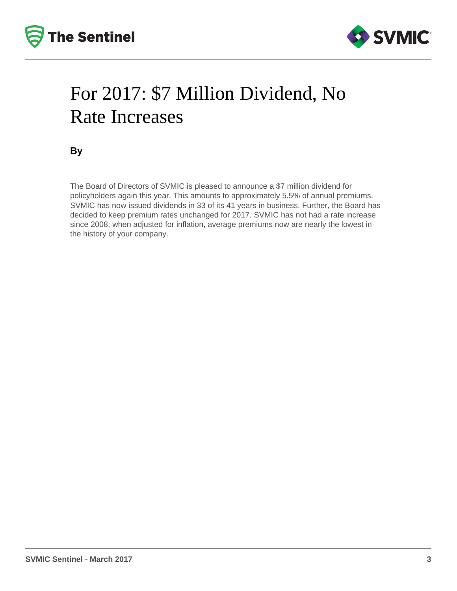



# For 2017: \$7 Million Dividend, No Rate Increases

**By**

The Board of Directors of SVMIC is pleased to announce a \$7 million dividend for policyholders again this year. This amounts to approximately 5.5% of annual premiums. SVMIC has now issued dividends in 33 of its 41 years in business. Further, the Board has decided to keep premium rates unchanged for 2017. SVMIC has not had a rate increase since 2008; when adjusted for inflation, average premiums now are nearly the lowest in the history of your company.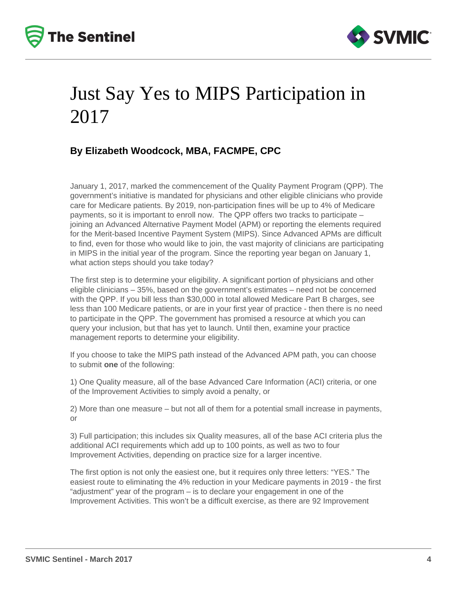



# Just Say Yes to MIPS Participation in 2017

### **By Elizabeth Woodcock, MBA, FACMPE, CPC**

January 1, 2017, marked the commencement of the Quality Payment Program (QPP). The government's initiative is mandated for physicians and other eligible clinicians who provide care for Medicare patients. By 2019, non-participation fines will be up to 4% of Medicare payments, so it is important to enroll now. The QPP offers two tracks to participate – joining an Advanced Alternative Payment Model (APM) or reporting the elements required for the Merit-based Incentive Payment System (MIPS). Since Advanced APMs are difficult to find, even for those who would like to join, the vast majority of clinicians are participating in MIPS in the initial year of the program. Since the reporting year began on January 1, what action steps should you take today?

The first step is to determine your eligibility. A significant portion of physicians and other eligible clinicians – 35%, based on the government's estimates – need not be concerned with the QPP. If you bill less than \$30,000 in total allowed Medicare Part B charges, see less than 100 Medicare patients, or are in your first year of practice - then there is no need to participate in the QPP. The government has promised a resource at which you can query your inclusion, but that has yet to launch. Until then, examine your practice management reports to determine your eligibility.

If you choose to take the MIPS path instead of the Advanced APM path, you can choose to submit **one** of the following:

1) One Quality measure, all of the base Advanced Care Information (ACI) criteria, or one of the Improvement Activities to simply avoid a penalty, or

2) More than one measure – but not all of them for a potential small increase in payments, or

3) Full participation; this includes six Quality measures, all of the base ACI criteria plus the additional ACI requirements which add up to 100 points, as well as two to four Improvement Activities, depending on practice size for a larger incentive.

The first option is not only the easiest one, but it requires only three letters: "YES." The easiest route to eliminating the 4% reduction in your Medicare payments in 2019 - the first "adjustment" year of the program – is to declare your engagement in one of the Improvement Activities. This won't be a difficult exercise, as there are 92 Improvement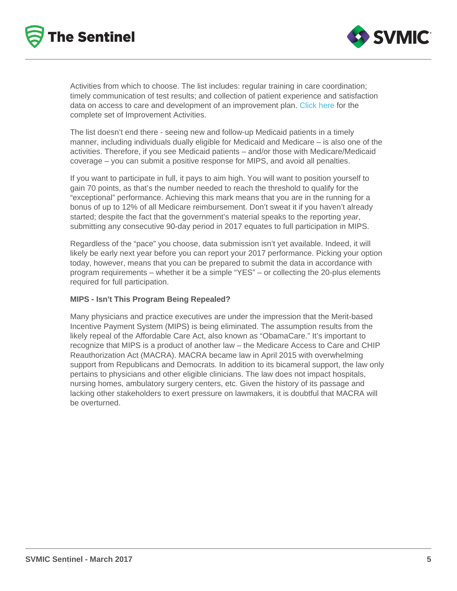Activities from which to choose. The list includes: regular training in care coordination; timely communication of test results; and collection of patient experience and satisfaction data on access to care and development of an improvement plan. [Click here](https://qpp.cms.gov/measures/ia) for the complete set of Improvement Activities.

The list doesn't end there - seeing new and follow-up Medicaid patients in a timely manner, including individuals dually eligible for Medicaid and Medicare – is also one of the activities. Therefore, if you see Medicaid patients – and/or those with Medicare/Medicaid coverage – you can submit a positive response for MIPS, and avoid all penalties.

If you want to participate in full, it pays to aim high. You will want to position yourself to gain 70 points, as that's the number needed to reach the threshold to qualify for the "exceptional" performance. Achieving this mark means that you are in the running for a bonus of up to 12% of all Medicare reimbursement. Don't sweat it if you haven't already started; despite the fact that the government's material speaks to the reporting year, submitting any consecutive 90-day period in 2017 equates to full participation in MIPS.

Regardless of the "pace" you choose, data submission isn't yet available. Indeed, it will likely be early next year before you can report your 2017 performance. Picking your option today, however, means that you can be prepared to submit the data in accordance with program requirements – whether it be a simple "YES" – or collecting the 20-plus elements required for full participation.

#### MIPS - Isn't This Program Being Repealed?

Many physicians and practice executives are under the impression that the Merit-based Incentive Payment System (MIPS) is being eliminated. The assumption results from the likely repeal of the Affordable Care Act, also known as "ObamaCare." It's important to recognize that MIPS is a product of another law – the Medicare Access to Care and CHIP Reauthorization Act (MACRA). MACRA became law in April 2015 with overwhelming support from Republicans and Democrats. In addition to its bicameral support, the law only pertains to physicians and other eligible clinicians. The law does not impact hospitals, nursing homes, ambulatory surgery centers, etc. Given the history of its passage and lacking other stakeholders to exert pressure on lawmakers, it is doubtful that MACRA will be overturned.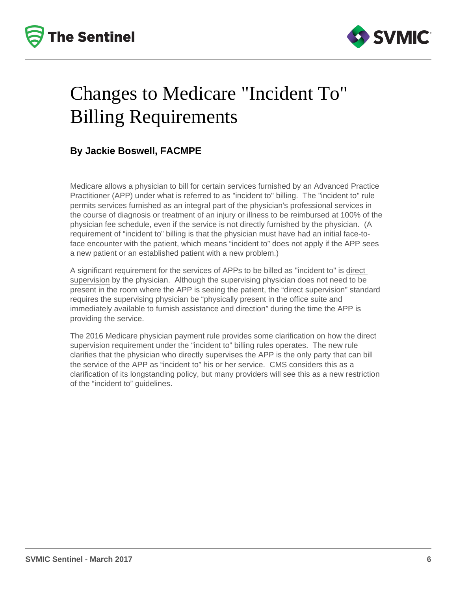



# Changes to Medicare "Incident To" Billing Requirements

### **By Jackie Boswell, FACMPE**

Medicare allows a physician to bill for certain services furnished by an Advanced Practice Practitioner (APP) under what is referred to as "incident to" billing. The "incident to" rule permits services furnished as an integral part of the physician's professional services in the course of diagnosis or treatment of an injury or illness to be reimbursed at 100% of the physician fee schedule, even if the service is not directly furnished by the physician. (A requirement of "incident to" billing is that the physician must have had an initial face-toface encounter with the patient, which means "incident to" does not apply if the APP sees a new patient or an established patient with a new problem.)

A significant requirement for the services of APPs to be billed as "incident to" is direct supervision by the physician. Although the supervising physician does not need to be present in the room where the APP is seeing the patient, the "direct supervision" standard requires the supervising physician be "physically present in the office suite and immediately available to furnish assistance and direction" during the time the APP is providing the service.

The 2016 Medicare physician payment rule provides some clarification on how the direct supervision requirement under the "incident to" billing rules operates. The new rule clarifies that the physician who directly supervises the APP is the only party that can bill the service of the APP as "incident to" his or her service. CMS considers this as a clarification of its longstanding policy, but many providers will see this as a new restriction of the "incident to" guidelines.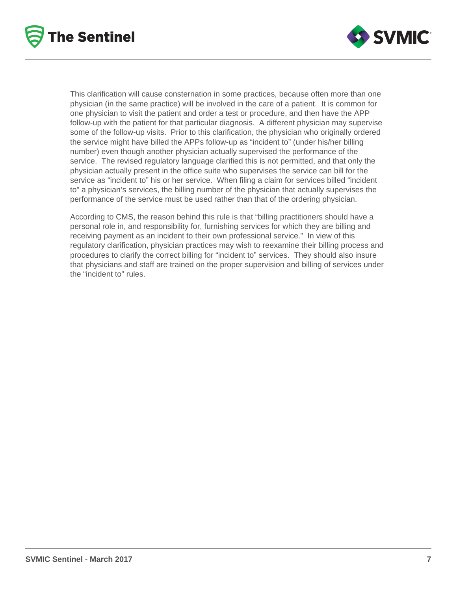



This clarification will cause consternation in some practices, because often more than one physician (in the same practice) will be involved in the care of a patient. It is common for one physician to visit the patient and order a test or procedure, and then have the APP follow-up with the patient for that particular diagnosis. A different physician may supervise some of the follow-up visits. Prior to this clarification, the physician who originally ordered the service might have billed the APPs follow-up as "incident to" (under his/her billing number) even though another physician actually supervised the performance of the service. The revised regulatory language clarified this is not permitted, and that only the physician actually present in the office suite who supervises the service can bill for the service as "incident to" his or her service. When filing a claim for services billed "incident to" a physician's services, the billing number of the physician that actually supervises the performance of the service must be used rather than that of the ordering physician.

According to CMS, the reason behind this rule is that "billing practitioners should have a personal role in, and responsibility for, furnishing services for which they are billing and receiving payment as an incident to their own professional service." In view of this regulatory clarification, physician practices may wish to reexamine their billing process and procedures to clarify the correct billing for "incident to" services. They should also insure that physicians and staff are trained on the proper supervision and billing of services under the "incident to" rules.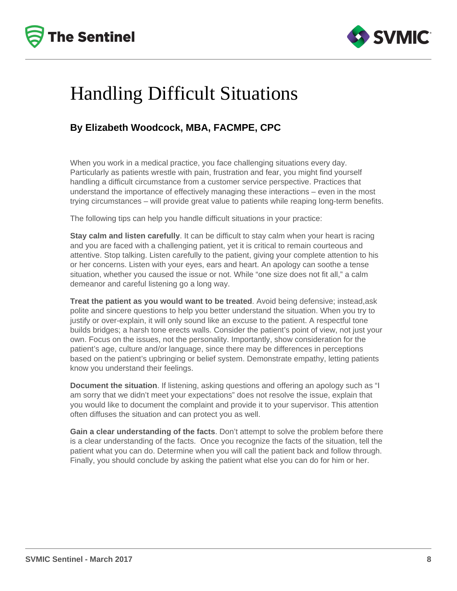



# Handling Difficult Situations

### **By Elizabeth Woodcock, MBA, FACMPE, CPC**

When you work in a medical practice, you face challenging situations every day. Particularly as patients wrestle with pain, frustration and fear, you might find yourself handling a difficult circumstance from a customer service perspective. Practices that understand the importance of effectively managing these interactions – even in the most trying circumstances – will provide great value to patients while reaping long-term benefits.

The following tips can help you handle difficult situations in your practice:

**Stay calm and listen carefully**. It can be difficult to stay calm when your heart is racing and you are faced with a challenging patient, yet it is critical to remain courteous and attentive. Stop talking. Listen carefully to the patient, giving your complete attention to his or her concerns. Listen with your eyes, ears and heart. An apology can soothe a tense situation, whether you caused the issue or not. While "one size does not fit all," a calm demeanor and careful listening go a long way.

**Treat the patient as you would want to be treated**. Avoid being defensive; instead,ask polite and sincere questions to help you better understand the situation. When you try to justify or over-explain, it will only sound like an excuse to the patient. A respectful tone builds bridges; a harsh tone erects walls. Consider the patient's point of view, not just your own. Focus on the issues, not the personality. Importantly, show consideration for the patient's age, culture and/or language, since there may be differences in perceptions based on the patient's upbringing or belief system. Demonstrate empathy, letting patients know you understand their feelings.

**Document the situation**. If listening, asking questions and offering an apology such as "I am sorry that we didn't meet your expectations" does not resolve the issue, explain that you would like to document the complaint and provide it to your supervisor. This attention often diffuses the situation and can protect you as well.

**Gain a clear understanding of the facts**. Don't attempt to solve the problem before there is a clear understanding of the facts. Once you recognize the facts of the situation, tell the patient what you can do. Determine when you will call the patient back and follow through. Finally, you should conclude by asking the patient what else you can do for him or her.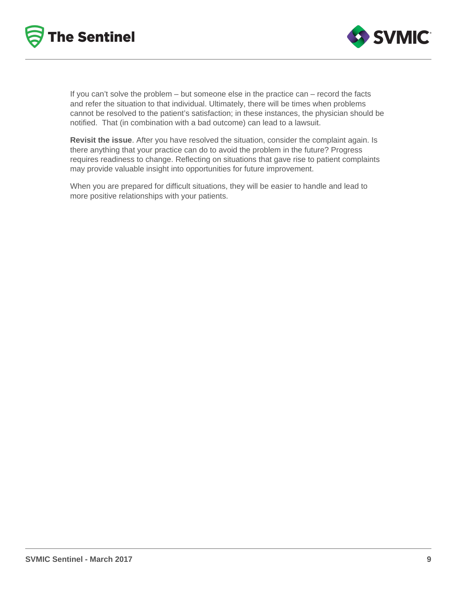



If you can't solve the problem – but someone else in the practice can – record the facts and refer the situation to that individual. Ultimately, there will be times when problems cannot be resolved to the patient's satisfaction; in these instances, the physician should be notified. That (in combination with a bad outcome) can lead to a lawsuit.

**Revisit the issue**. After you have resolved the situation, consider the complaint again. Is there anything that your practice can do to avoid the problem in the future? Progress requires readiness to change. Reflecting on situations that gave rise to patient complaints may provide valuable insight into opportunities for future improvement.

When you are prepared for difficult situations, they will be easier to handle and lead to more positive relationships with your patients.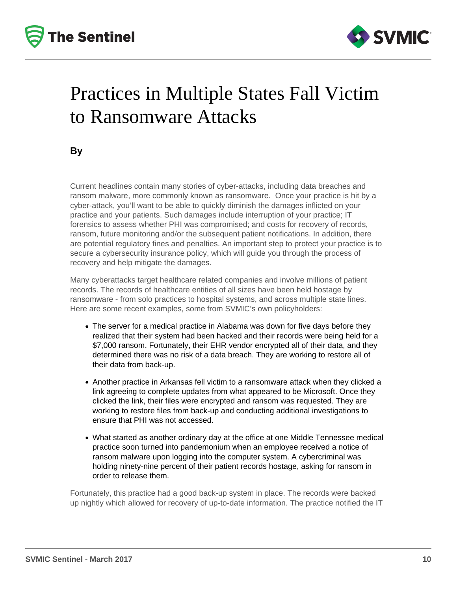



# Practices in Multiple States Fall Victim to Ransomware Attacks

**By**

Current headlines contain many stories of cyber-attacks, including data breaches and ransom malware, more commonly known as ransomware. Once your practice is hit by a cyber-attack, you'll want to be able to quickly diminish the damages inflicted on your practice and your patients. Such damages include interruption of your practice; IT forensics to assess whether PHI was compromised; and costs for recovery of records, ransom, future monitoring and/or the subsequent patient notifications. In addition, there are potential regulatory fines and penalties. An important step to protect your practice is to secure a cybersecurity insurance policy, which will guide you through the process of recovery and help mitigate the damages.

Many cyberattacks target healthcare related companies and involve millions of patient records. The records of healthcare entities of all sizes have been held hostage by ransomware - from solo practices to hospital systems, and across multiple state lines. Here are some recent examples, some from SVMIC's own policyholders:

- The server for a medical practice in Alabama was down for five days before they realized that their system had been hacked and their records were being held for a \$7,000 ransom. Fortunately, their EHR vendor encrypted all of their data, and they determined there was no risk of a data breach. They are working to restore all of their data from back-up.
- Another practice in Arkansas fell victim to a ransomware attack when they clicked a link agreeing to complete updates from what appeared to be Microsoft. Once they clicked the link, their files were encrypted and ransom was requested. They are working to restore files from back-up and conducting additional investigations to ensure that PHI was not accessed.
- What started as another ordinary day at the office at one Middle Tennessee medical practice soon turned into pandemonium when an employee received a notice of ransom malware upon logging into the computer system. A cybercriminal was holding ninety-nine percent of their patient records hostage, asking for ransom in order to release them.

Fortunately, this practice had a good back-up system in place. The records were backed up nightly which allowed for recovery of up-to-date information. The practice notified the IT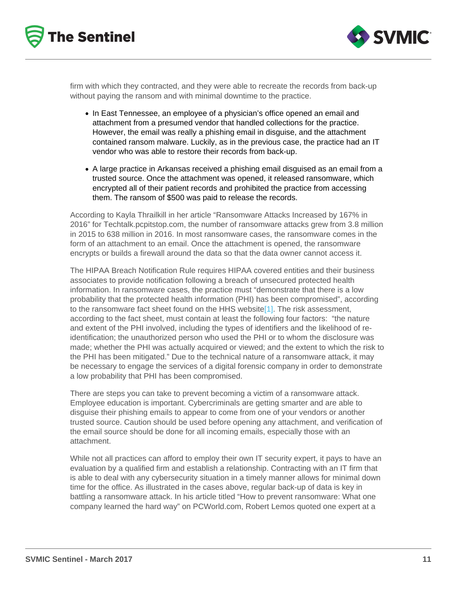firm with which they contracted, and they were able to recreate the records from back-up without paying the ransom and with minimal downtime to the practice.

- In East Tennessee, an employee of a physician's office opened an email and attachment from a presumed vendor that handled collections for the practice. However, the email was really a phishing email in disguise, and the attachment contained ransom malware. Luckily, as in the previous case, the practice had an IT vendor who was able to restore their records from back-up.
- A large practice in Arkansas received a phishing email disguised as an email from a trusted source. Once the attachment was opened, it released ransomware, which encrypted all of their patient records and prohibited the practice from accessing them. The ransom of \$500 was paid to release the records.

According to Kayla Thrailkill in her article "Ransomware Attacks Increased by 167% in 2016" for Techtalk.pcpitstop.com, the number of ransomware attacks grew from 3.8 million in 2015 to 638 million in 2016. In most ransomware cases, the ransomware comes in the form of an attachment to an email. Once the attachment is opened, the ransomware encrypts or builds a firewall around the data so that the data owner cannot access it.

The HIPAA Breach Notification Rule requires HIPAA covered entities and their business associates to provide notification following a breach of unsecured protected health information. In ransomware cases, the practice must "demonstrate that there is a low probability that the protected health information (PHI) has been compromised", according to the ransomware fact sheet found on the HHS websit[e\[1\].](https://www.svmic.com/Home/resources/newsletters-2/the-svmic-sentinel/practice-management/practices-in-multiple-states-fall-victim-to-ransomware-attacks-march-2017/#_ftn1) The risk assessment, according to the fact sheet, must contain at least the following four factors: "the nature and extent of the PHI involved, including the types of identifiers and the likelihood of reidentification; the unauthorized person who used the PHI or to whom the disclosure was made; whether the PHI was actually acquired or viewed; and the extent to which the risk to the PHI has been mitigated." Due to the technical nature of a ransomware attack, it may be necessary to engage the services of a digital forensic company in order to demonstrate a low probability that PHI has been compromised.

There are steps you can take to prevent becoming a victim of a ransomware attack. Employee education is important. Cybercriminals are getting smarter and are able to disguise their phishing emails to appear to come from one of your vendors or another trusted source. Caution should be used before opening any attachment, and verification of the email source should be done for all incoming emails, especially those with an attachment.

While not all practices can afford to employ their own IT security expert, it pays to have an evaluation by a qualified firm and establish a relationship. Contracting with an IT firm that is able to deal with any cybersecurity situation in a timely manner allows for minimal down time for the office. As illustrated in the cases above, regular back-up of data is key in battling a ransomware attack. In his article titled "How to prevent ransomware: What one company learned the hard way" on PCWorld.com, Robert Lemos quoted one expert at a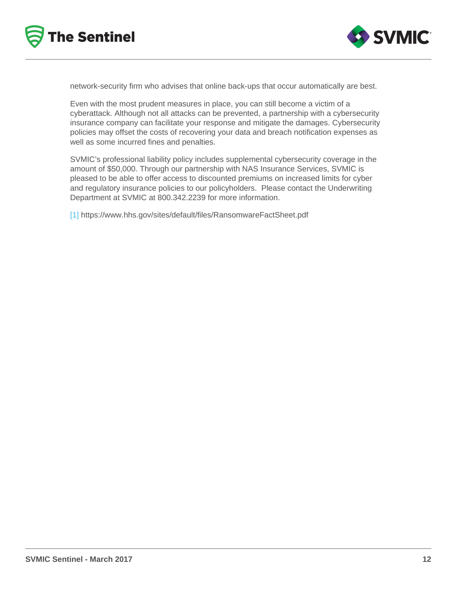network-security firm who advises that online back-ups that occur automatically are best.

Even with the most prudent measures in place, you can still become a victim of a cyberattack. Although not all attacks can be prevented, a partnership with a cybersecurity insurance company can facilitate your response and mitigate the damages. Cybersecurity policies may offset the costs of recovering your data and breach notification expenses as well as some incurred fines and penalties.

SVMIC's professional liability policy includes supplemental cybersecurity coverage in the amount of \$50,000. Through our partnership with NAS Insurance Services, SVMIC is pleased to be able to offer access to discounted premiums on increased limits for cyber and regulatory insurance policies to our policyholders. Please contact the Underwriting Department at SVMIC at 800.342.2239 for more information.

[\[1\]](https://www.svmic.com/Home/resources/newsletters-2/the-svmic-sentinel/practice-management/practices-in-multiple-states-fall-victim-to-ransomware-attacks-march-2017/#_ftnref1) https://www.hhs.gov/sites/default/files/RansomwareFactSheet.pdf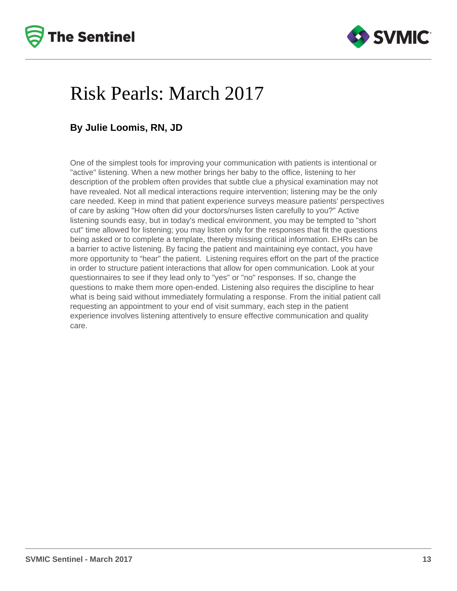



## Risk Pearls: March 2017

### **By Julie Loomis, RN, JD**

One of the simplest tools for improving your communication with patients is intentional or "active" listening. When a new mother brings her baby to the office, listening to her description of the problem often provides that subtle clue a physical examination may not have revealed. Not all medical interactions require intervention; listening may be the only care needed. Keep in mind that patient experience surveys measure patients' perspectives of care by asking "How often did your doctors/nurses listen carefully to you?" Active listening sounds easy, but in today's medical environment, you may be tempted to "short cut" time allowed for listening; you may listen only for the responses that fit the questions being asked or to complete a template, thereby missing critical information. EHRs can be a barrier to active listening. By facing the patient and maintaining eye contact, you have more opportunity to "hear" the patient. Listening requires effort on the part of the practice in order to structure patient interactions that allow for open communication. Look at your questionnaires to see if they lead only to "yes" or "no" responses. If so, change the questions to make them more open-ended. Listening also requires the discipline to hear what is being said without immediately formulating a response. From the initial patient call requesting an appointment to your end of visit summary, each step in the patient experience involves listening attentively to ensure effective communication and quality care.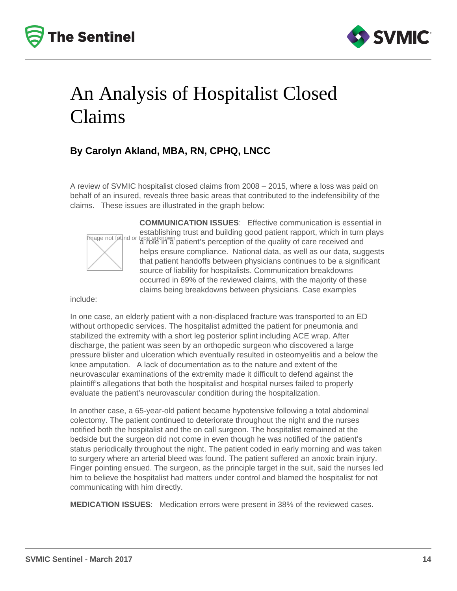



# An Analysis of Hospitalist Closed Claims

### **By Carolyn Akland, MBA, RN, CPHQ, LNCC**

A review of SVMIC hospitalist closed claims from 2008 – 2015, where a loss was paid on behalf of an insured, reveals three basic areas that contributed to the indefensibility of the claims. These issues are illustrated in the graph below:



**COMMUNICATION ISSUES**:Effective communication is essential in establishing trust and building good patient rapport, which in turn plays a role in a patient's perception of the quality of care received and helps ensure compliance. National data, as well as our data, suggests that patient handoffs between physicians continues to be a significant source of liability for hospitalists. Communication breakdowns occurred in 69% of the reviewed claims, with the majority of these claims being breakdowns between physicians. Case examples

include:

In one case, an elderly patient with a non-displaced fracture was transported to an ED without orthopedic services. The hospitalist admitted the patient for pneumonia and stabilized the extremity with a short leg posterior splint including ACE wrap. After discharge, the patient was seen by an orthopedic surgeon who discovered a large pressure blister and ulceration which eventually resulted in osteomyelitis and a below the knee amputation. A lack of documentation as to the nature and extent of the neurovascular examinations of the extremity made it difficult to defend against the plaintiff's allegations that both the hospitalist and hospital nurses failed to properly evaluate the patient's neurovascular condition during the hospitalization.

In another case, a 65-year-old patient became hypotensive following a total abdominal colectomy. The patient continued to deteriorate throughout the night and the nurses notified both the hospitalist and the on call surgeon. The hospitalist remained at the bedside but the surgeon did not come in even though he was notified of the patient's status periodically throughout the night. The patient coded in early morning and was taken to surgery where an arterial bleed was found. The patient suffered an anoxic brain injury. Finger pointing ensued. The surgeon, as the principle target in the suit, said the nurses led him to believe the hospitalist had matters under control and blamed the hospitalist for not communicating with him directly.

**MEDICATION ISSUES**:Medication errors were present in 38% of the reviewed cases.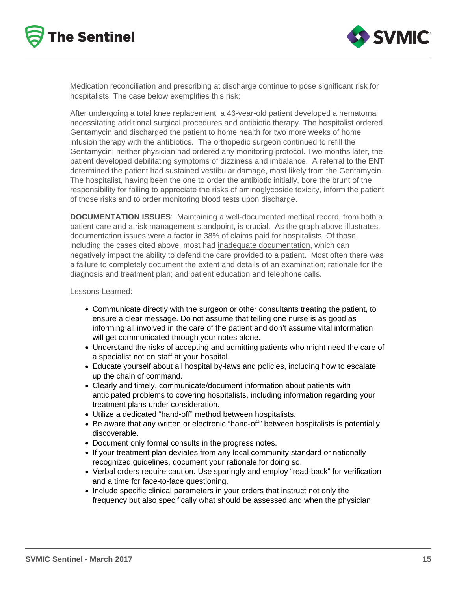



Medication reconciliation and prescribing at discharge continue to pose significant risk for hospitalists. The case below exemplifies this risk:

After undergoing a total knee replacement, a 46-year-old patient developed a hematoma necessitating additional surgical procedures and antibiotic therapy. The hospitalist ordered Gentamycin and discharged the patient to home health for two more weeks of home infusion therapy with the antibiotics. The orthopedic surgeon continued to refill the Gentamycin; neither physician had ordered any monitoring protocol. Two months later, the patient developed debilitating symptoms of dizziness and imbalance. A referral to the ENT determined the patient had sustained vestibular damage, most likely from the Gentamycin. The hospitalist, having been the one to order the antibiotic initially, bore the brunt of the responsibility for failing to appreciate the risks of aminoglycoside toxicity, inform the patient of those risks and to order monitoring blood tests upon discharge.

**DOCUMENTATION ISSUES**: Maintaining a well-documented medical record, from both a patient care and a risk management standpoint, is crucial. As the graph above illustrates, documentation issues were a factor in 38% of claims paid for hospitalists. Of those, including the cases cited above, most had inadequate documentation, which can negatively impact the ability to defend the care provided to a patient. Most often there was a failure to completely document the extent and details of an examination; rationale for the diagnosis and treatment plan; and patient education and telephone calls.

Lessons Learned:

- Communicate directly with the surgeon or other consultants treating the patient, to ensure a clear message. Do not assume that telling one nurse is as good as informing all involved in the care of the patient and don't assume vital information will get communicated through your notes alone.
- Understand the risks of accepting and admitting patients who might need the care of a specialist not on staff at your hospital.
- Educate yourself about all hospital by-laws and policies, including how to escalate up the chain of command.
- Clearly and timely, communicate/document information about patients with anticipated problems to covering hospitalists, including information regarding your treatment plans under consideration.
- Utilize a dedicated "hand-off" method between hospitalists.
- Be aware that any written or electronic "hand-off" between hospitalists is potentially discoverable.
- Document only formal consults in the progress notes.
- If your treatment plan deviates from any local community standard or nationally recognized guidelines, document your rationale for doing so.
- Verbal orders require caution. Use sparingly and employ "read-back" for verification and a time for face-to-face questioning.
- Include specific clinical parameters in your orders that instruct not only the frequency but also specifically what should be assessed and when the physician